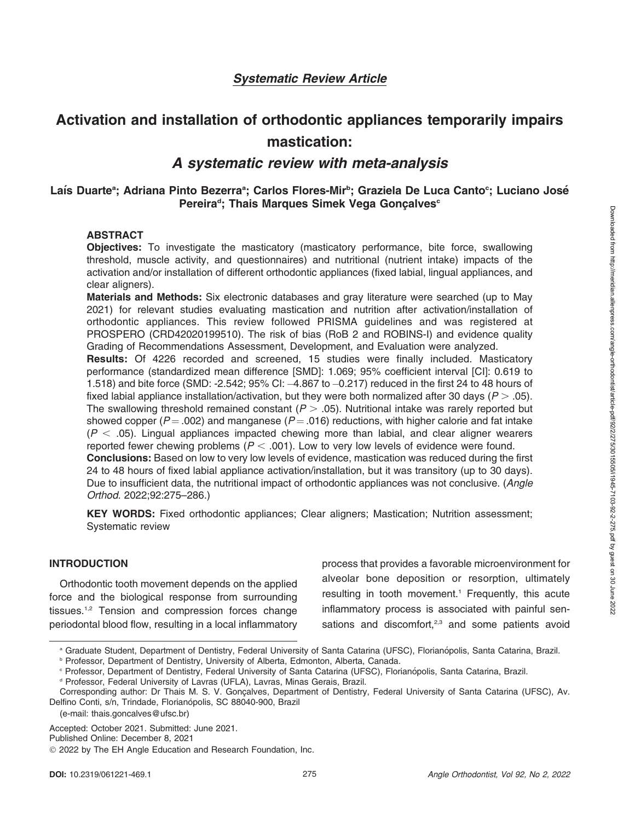Downloaded from http://meridian.allenpress.com/angle-orthodontist/article-pdf92/2/275/3015505/i1945-7103-92-2-275.pdf by guest on 30 June 2022 Downloaded from http://meridian.allenpress.com/angle-orthodontist/article-pdf/92/2/275/3015505/i1945-7103-92-2-275.pdf by guest on 30 June 2022

## Systematic Review Article

# Activation and installation of orthodontic appliances temporarily impairs mastication:

# A systematic review with meta-analysis

### Laís Duarte<sup>a</sup>; Adriana Pinto Bezerra<sup>a</sup>; Carlos Flores-Mir<sup>b</sup>; Graziela De Luca Canto<sup>c</sup>; Luciano José Pereira<sup>d</sup>; Thais Marques Simek Vega Gonçalves<sup>c</sup>

### ABSTRACT

Objectives: To investigate the masticatory (masticatory performance, bite force, swallowing threshold, muscle activity, and questionnaires) and nutritional (nutrient intake) impacts of the activation and/or installation of different orthodontic appliances (fixed labial, lingual appliances, and clear aligners).

Materials and Methods: Six electronic databases and gray literature were searched (up to May 2021) for relevant studies evaluating mastication and nutrition after activation/installation of orthodontic appliances. This review followed PRISMA guidelines and was registered at PROSPERO (CRD42020199510). The risk of bias (RoB 2 and ROBINS-I) and evidence quality Grading of Recommendations Assessment, Development, and Evaluation were analyzed.

Results: Of 4226 recorded and screened, 15 studies were finally included. Masticatory performance (standardized mean difference [SMD]: 1.069; 95% coefficient interval [CI]: 0.619 to 1.518) and bite force (SMD: -2.542; 95% CI: -4.867 to -0.217) reduced in the first 24 to 48 hours of fixed labial appliance installation/activation, but they were both normalized after 30 days ( $P > .05$ ). The swallowing threshold remained constant ( $P > .05$ ). Nutritional intake was rarely reported but showed copper ( $P = .002$ ) and manganese ( $P = .016$ ) reductions, with higher calorie and fat intake  $(P < .05)$ . Lingual appliances impacted chewing more than labial, and clear aligner wearers reported fewer chewing problems ( $P < .001$ ). Low to very low levels of evidence were found. Conclusions: Based on low to very low levels of evidence, mastication was reduced during the first

24 to 48 hours of fixed labial appliance activation/installation, but it was transitory (up to 30 days). Due to insufficient data, the nutritional impact of orthodontic appliances was not conclusive. (Angle Orthod. 2022;92:275–286.)

KEY WORDS: Fixed orthodontic appliances; Clear aligners; Mastication; Nutrition assessment; Systematic review

### INTRODUCTION

Orthodontic tooth movement depends on the applied force and the biological response from surrounding tissues.<sup>1,2</sup> Tension and compression forces change periodontal blood flow, resulting in a local inflammatory process that provides a favorable microenvironment for alveolar bone deposition or resorption, ultimately resulting in tooth movement.<sup>1</sup> Frequently, this acute inflammatory process is associated with painful sensations and discomfort, $2,3$  and some patients avoid

Accepted: October 2021. Submitted: June 2021.

a Graduate Student, Department of Dentistry, Federal University of Santa Catarina (UFSC), Florianópolis, Santa Catarina, Brazil.

**Professor, Department of Dentistry, University of Alberta, Edmonton, Alberta, Canada.** 

<sup>&</sup>lt;sup>c</sup> Professor, Department of Dentistry, Federal University of Santa Catarina (UFSC), Florianópolis, Santa Catarina, Brazil.

<sup>&</sup>lt;sup>d</sup> Professor, Federal University of Lavras (UFLA), Lavras, Minas Gerais, Brazil.

Corresponding author: Dr Thais M. S. V. Gonçalves, Department of Dentistry, Federal University of Santa Catarina (UFSC), Av. Delfino Conti, s/n, Trindade, Florianópolis, SC 88040-900, Brazil

<sup>(</sup>e-mail: thais.goncalves@ufsc.br)

Published Online: December 8, 2021

<sup>© 2022</sup> by The EH Angle Education and Research Foundation, Inc.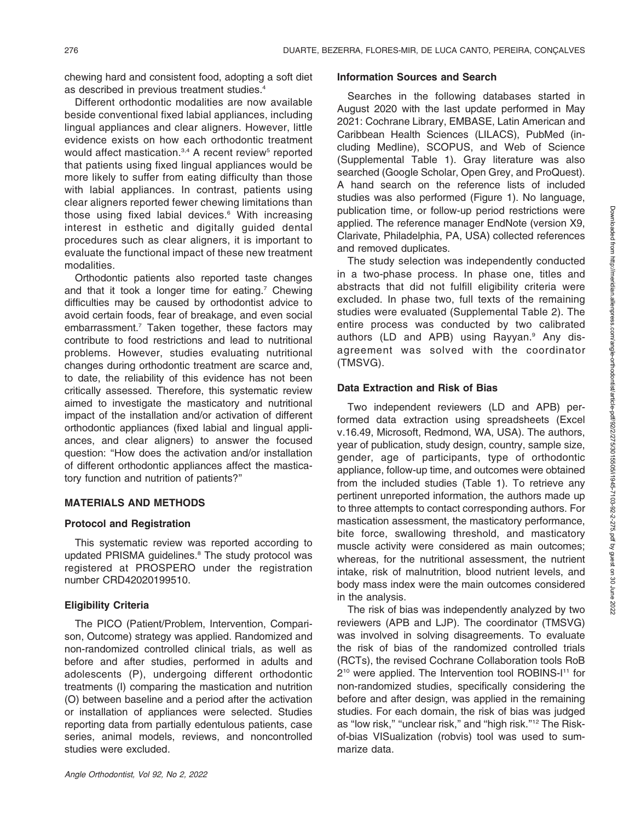chewing hard and consistent food, adopting a soft diet as described in previous treatment studies.4

Different orthodontic modalities are now available beside conventional fixed labial appliances, including lingual appliances and clear aligners. However, little evidence exists on how each orthodontic treatment would affect mastication.<sup>3,4</sup> A recent review<sup>5</sup> reported that patients using fixed lingual appliances would be more likely to suffer from eating difficulty than those with labial appliances. In contrast, patients using clear aligners reported fewer chewing limitations than those using fixed labial devices.<sup>6</sup> With increasing interest in esthetic and digitally guided dental procedures such as clear aligners, it is important to evaluate the functional impact of these new treatment modalities.

Orthodontic patients also reported taste changes and that it took a longer time for eating.<sup>7</sup> Chewing difficulties may be caused by orthodontist advice to avoid certain foods, fear of breakage, and even social embarrassment.<sup>7</sup> Taken together, these factors may contribute to food restrictions and lead to nutritional problems. However, studies evaluating nutritional changes during orthodontic treatment are scarce and, to date, the reliability of this evidence has not been critically assessed. Therefore, this systematic review aimed to investigate the masticatory and nutritional impact of the installation and/or activation of different orthodontic appliances (fixed labial and lingual appliances, and clear aligners) to answer the focused question: ''How does the activation and/or installation of different orthodontic appliances affect the masticatory function and nutrition of patients?''

#### MATERIALS AND METHODS

#### Protocol and Registration

This systematic review was reported according to updated PRISMA guidelines.<sup>8</sup> The study protocol was registered at PROSPERO under the registration number CRD42020199510.

### Eligibility Criteria

The PICO (Patient/Problem, Intervention, Comparison, Outcome) strategy was applied. Randomized and non-randomized controlled clinical trials, as well as before and after studies, performed in adults and adolescents (P), undergoing different orthodontic treatments (I) comparing the mastication and nutrition (O) between baseline and a period after the activation or installation of appliances were selected. Studies reporting data from partially edentulous patients, case series, animal models, reviews, and noncontrolled studies were excluded.

#### Angle Orthodontist, Vol 92, No 2, 2022

#### Information Sources and Search

Searches in the following databases started in August 2020 with the last update performed in May 2021: Cochrane Library, EMBASE, Latin American and Caribbean Health Sciences (LILACS), PubMed (including Medline), SCOPUS, and Web of Science (Supplemental Table 1). Gray literature was also searched (Google Scholar, Open Grey, and ProQuest). A hand search on the reference lists of included studies was also performed (Figure 1). No language, publication time, or follow-up period restrictions were applied. The reference manager EndNote (version X9, Clarivate, Philadelphia, PA, USA) collected references and removed duplicates.

The study selection was independently conducted in a two-phase process. In phase one, titles and abstracts that did not fulfill eligibility criteria were excluded. In phase two, full texts of the remaining studies were evaluated (Supplemental Table 2). The entire process was conducted by two calibrated authors (LD and APB) using Rayyan.<sup>9</sup> Any disagreement was solved with the coordinator (TMSVG).

### Data Extraction and Risk of Bias

Two independent reviewers (LD and APB) performed data extraction using spreadsheets (Excel v.16.49, Microsoft, Redmond, WA, USA). The authors, year of publication, study design, country, sample size, gender, age of participants, type of orthodontic appliance, follow-up time, and outcomes were obtained from the included studies (Table 1). To retrieve any pertinent unreported information, the authors made up to three attempts to contact corresponding authors. For mastication assessment, the masticatory performance, bite force, swallowing threshold, and masticatory muscle activity were considered as main outcomes; whereas, for the nutritional assessment, the nutrient intake, risk of malnutrition, blood nutrient levels, and body mass index were the main outcomes considered in the analysis.

The risk of bias was independently analyzed by two reviewers (APB and LJP). The coordinator (TMSVG) was involved in solving disagreements. To evaluate the risk of bias of the randomized controlled trials (RCTs), the revised Cochrane Collaboration tools RoB 210 were applied. The Intervention tool ROBINS-I11 for non-randomized studies, specifically considering the before and after design, was applied in the remaining studies. For each domain, the risk of bias was judged as "low risk," "unclear risk," and "high risk."<sup>12</sup> The Riskof-bias VISualization (robvis) tool was used to summarize data.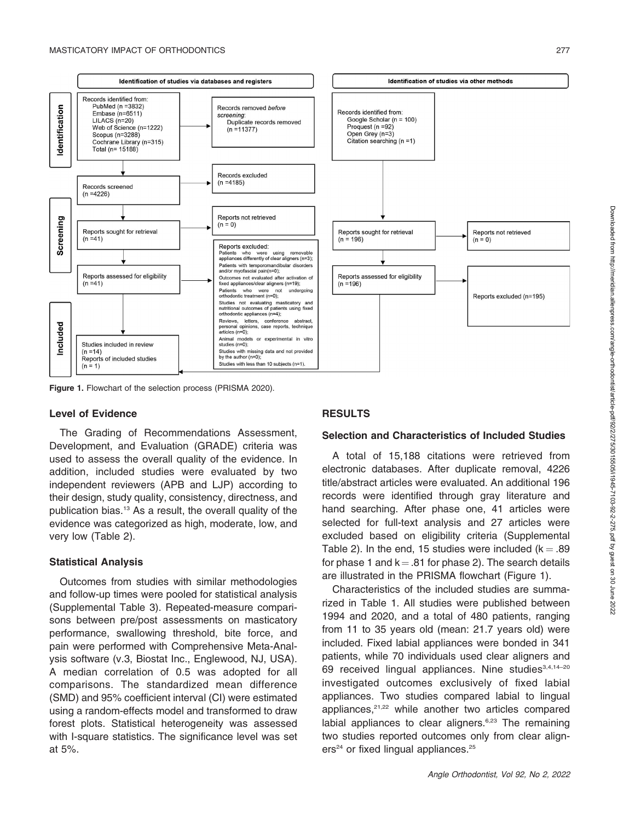

Figure 1. Flowchart of the selection process (PRISMA 2020).

### Level of Evidence

The Grading of Recommendations Assessment, Development, and Evaluation (GRADE) criteria was used to assess the overall quality of the evidence. In addition, included studies were evaluated by two independent reviewers (APB and LJP) according to their design, study quality, consistency, directness, and publication bias.13 As a result, the overall quality of the evidence was categorized as high, moderate, low, and very low (Table 2).

### Statistical Analysis

Outcomes from studies with similar methodologies and follow-up times were pooled for statistical analysis (Supplemental Table 3). Repeated-measure comparisons between pre/post assessments on masticatory performance, swallowing threshold, bite force, and pain were performed with Comprehensive Meta-Analysis software (v.3, Biostat Inc., Englewood, NJ, USA). A median correlation of 0.5 was adopted for all comparisons. The standardized mean difference (SMD) and 95% coefficient interval (CI) were estimated using a random-effects model and transformed to draw forest plots. Statistical heterogeneity was assessed with I-square statistics. The significance level was set at 5%.

### RESULTS

### Selection and Characteristics of Included Studies

A total of 15,188 citations were retrieved from electronic databases. After duplicate removal, 4226 title/abstract articles were evaluated. An additional 196 records were identified through gray literature and hand searching. After phase one, 41 articles were selected for full-text analysis and 27 articles were excluded based on eligibility criteria (Supplemental Table 2). In the end, 15 studies were included ( $k = .89$ ) for phase 1 and  $k = .81$  for phase 2). The search details are illustrated in the PRISMA flowchart (Figure 1).

Characteristics of the included studies are summarized in Table 1. All studies were published between 1994 and 2020, and a total of 480 patients, ranging from 11 to 35 years old (mean: 21.7 years old) were included. Fixed labial appliances were bonded in 341 patients, while 70 individuals used clear aligners and 69 received lingual appliances. Nine studies<sup>3,4,14-20</sup> investigated outcomes exclusively of fixed labial appliances. Two studies compared labial to lingual appliances, $21,22$  while another two articles compared labial appliances to clear aligners. $6,23$  The remaining two studies reported outcomes only from clear aligners<sup>24</sup> or fixed lingual appliances.<sup>25</sup>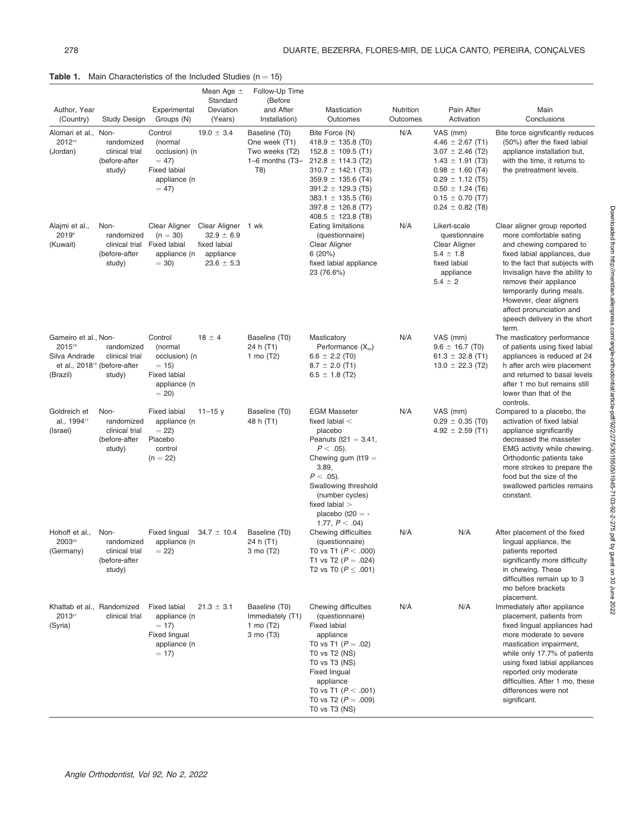**Table 1.** Main Characteristics of the Included Studies  $(n = 15)$ 

| Author, Year<br>(Country)                                   | Study Design                                                                       | Experimental<br>Groups (N)                                                                      | Mean Age $\pm$<br>Standard<br>Deviation<br>(Years)                                  | Follow-Up Time<br>(Before<br>and After<br>Installation)                        | Mastication<br>Outcomes                                                                                                                                                                                                                                   | Nutrition<br>Outcomes | Pain After<br>Activation                                                                                                                                                                                 | Main<br>Conclusions                                                                                                                                                                                                                                                                                                                           |
|-------------------------------------------------------------|------------------------------------------------------------------------------------|-------------------------------------------------------------------------------------------------|-------------------------------------------------------------------------------------|--------------------------------------------------------------------------------|-----------------------------------------------------------------------------------------------------------------------------------------------------------------------------------------------------------------------------------------------------------|-----------------------|----------------------------------------------------------------------------------------------------------------------------------------------------------------------------------------------------------|-----------------------------------------------------------------------------------------------------------------------------------------------------------------------------------------------------------------------------------------------------------------------------------------------------------------------------------------------|
| Alomari et al., Non-<br>201214<br>(Jordan)                  | randomized<br>clinical trial<br>(before-after<br>study)                            | Control<br>(normal<br>occlusion) (n<br>$= 47$<br><b>Fixed labial</b><br>appliance (n<br>$= 47$  | $19.0 \pm 3.4$                                                                      | Baseline (T0)<br>One week (T1)<br>Two weeks (T2)<br>$1-6$ months $(T3-$<br>T8) | Bite Force (N)<br>418.9 $\pm$ 135.8 (T0)<br>$152.8 \pm 109.5$ (T1)<br>$212.8 \pm 114.3$ (T2)<br>$310.7 \pm 142.1$ (T3)<br>$359.9 \pm 135.6$ (T4)<br>$391.2 \pm 129.3$ (T5)<br>$383.1 \pm 135.5$ (T6)<br>$397.8 \pm 126.8$ (T7)<br>$408.5 \pm 123.8$ (T8)  | N/A                   | VAS (mm)<br>4.46 $\pm$ 2.67 (T1)<br>$3.07 \pm 2.46$ (T2)<br>$1.43 \pm 1.91$ (T3)<br>$0.98 \pm 1.60$ (T4)<br>$0.29 \pm 1.12$ (T5)<br>$0.50 \pm 1.24$ (T6)<br>$0.15 \pm 0.70$ (T7)<br>$0.24 \pm 0.82$ (T8) | Bite force significantly reduces<br>(50%) after the fixed labial<br>appliance installation but,<br>with the time, it returns to<br>the pretreatment levels.                                                                                                                                                                                   |
| Alajmi et al.,<br>2019 <sup>6</sup><br>(Kuwait)             | Non-<br>randomized<br>clinical trial<br>(before-after<br>study)                    | Clear Aligner<br>$(n = 30)$<br><b>Fixed labial</b><br>appliance (n<br>$= 30$                    | Clear Aligner 1 wk<br>$32.9 \pm 6.9$<br>fixed labial<br>appliance<br>$23.6 \pm 5.3$ |                                                                                | <b>Eating limitations</b><br>(questionnaire)<br>Clear Aligner<br>6(20%)<br>fixed labial appliance<br>23 (76.6%)                                                                                                                                           | N/A                   | Likert-scale<br>questionnaire<br>Clear Aligner<br>$5.4 \pm 1.8$<br>fixed labial<br>appliance<br>$5.4 \pm 2$                                                                                              | Clear aligner group reported<br>more comfortable eating<br>and chewing compared to<br>fixed labial appliances, due<br>to the fact that subjects with<br>Invisalign have the ability to<br>remove their appliance<br>temporarily during meals.<br>However, clear aligners<br>affect pronunciation and<br>speech delivery in the short<br>term. |
| Gameiro et al., Non-<br>201516<br>Silva Andrade<br>(Brazil) | randomized<br>clinical trial<br>et al., 2018 <sup>15</sup> (before-after<br>study) | Control<br>(normal<br>occlusion) (n<br>$= 15$<br><b>Fixed labial</b><br>appliance (n<br>$= 20$  | $18 \pm 4$                                                                          | Baseline (T0)<br>24 h (T1)<br>1 mo $(T2)$                                      | Masticatory<br>Performance $(X_{50})$<br>$6.6 \pm 2.2$ (T0)<br>$8.7 \pm 2.0$ (T1)<br>$6.5 \pm 1.8$ (T2)                                                                                                                                                   | N/A                   | VAS (mm)<br>$9.6 \pm 16.7$ (T0)<br>61.3 $\pm$ 32.8 (T1)<br>13.0 $\pm$ 22.3 (T2)                                                                                                                          | The masticatory performance<br>of patients using fixed labial<br>appliances is reduced at 24<br>h after arch wire placement<br>and returned to basal levels<br>after 1 mo but remains still<br>lower than that of the<br>controls.                                                                                                            |
| Goldreich et<br>al., 1994 <sup>17</sup><br>(Israel)         | Non-<br>randomized<br>clinical trial<br>(before-after<br>study)                    | <b>Fixed labial</b><br>appliance (n<br>$= 22$<br>Placebo<br>control<br>$(n = 22)$               | $11 - 15y$                                                                          | Baseline (T0)<br>48 h (T1)                                                     | <b>EGM Masseter</b><br>fixed labial $<$<br>placebo<br>Peanuts (t21 = $3.41$ ,<br>$P < .05$ ).<br>Chewing gum (t19 $=$<br>3.89,<br>$P < .05$ ).<br>Swallowing threshold<br>(number cycles)<br>fixed labial $>$<br>placebo ( $t20 = -$<br>1.77, $P < .04$ ) | N/A                   | VAS (mm)<br>$0.29 \pm 0.35$ (T0)<br>4.92 $\pm$ 2.59 (T1)                                                                                                                                                 | Compared to a placebo, the<br>activation of fixed labial<br>appliance significantly<br>decreased the masseter<br>EMG activity while chewing.<br>Orthodontic patients take<br>more strokes to prepare the<br>food but the size of the<br>swallowed particles remains<br>constant.                                                              |
| Hohoff et al.,<br>2003 <sup>25</sup><br>(Germany)           | Non-<br>randomized<br>clinical trial<br>(before-after<br>study)                    | Fixed lingual<br>appliance (n<br>$= 22$                                                         | $34.7 \pm 10.4$                                                                     | Baseline (T0)<br>24 h (T1)<br>3 mo (T2)                                        | Chewing difficulties<br>(questionnaire)<br>T0 vs T1 ( $P < .000$ )<br>T1 vs T2 ( $P = .024$ )<br>T2 vs T0 ( $P \leq .001$ )                                                                                                                               | N/A                   | N/A                                                                                                                                                                                                      | After placement of the fixed<br>lingual appliance, the<br>patients reported<br>significantly more difficulty<br>in chewing. These<br>difficulties remain up to 3<br>mo before brackets<br>placement.                                                                                                                                          |
| Khattab et al., Randomized<br>201321<br>(Syria)             | clinical trial                                                                     | <b>Fixed labial</b><br>appliance (n<br>$= 17$<br><b>Fixed lingual</b><br>appliance (n<br>$= 17$ | $21.3 \pm 3.1$                                                                      | Baseline (T0)<br>Immediately (T1)<br>1 mo $(T2)$<br>3 mo (T3)                  | Chewing difficulties<br>(questionnaire)<br><b>Fixed labial</b><br>appliance<br>T0 vs T1 ( $P = .02$ )<br>T0 vs T2 (NS)<br>T0 vs T3 (NS)<br><b>Fixed lingual</b><br>appliance<br>T0 vs T1 ( $P < .001$ )<br>T0 vs T2 ( $P = .009$ )<br>T0 vs T3 (NS)       | N/A                   | N/A                                                                                                                                                                                                      | Immediately after appliance<br>placement, patients from<br>fixed lingual appliances had<br>more moderate to severe<br>mastication impairment,<br>while only 17.7% of patients<br>using fixed labial appliances<br>reported only moderate<br>difficulties. After 1 mo, these<br>differences were not<br>significant.                           |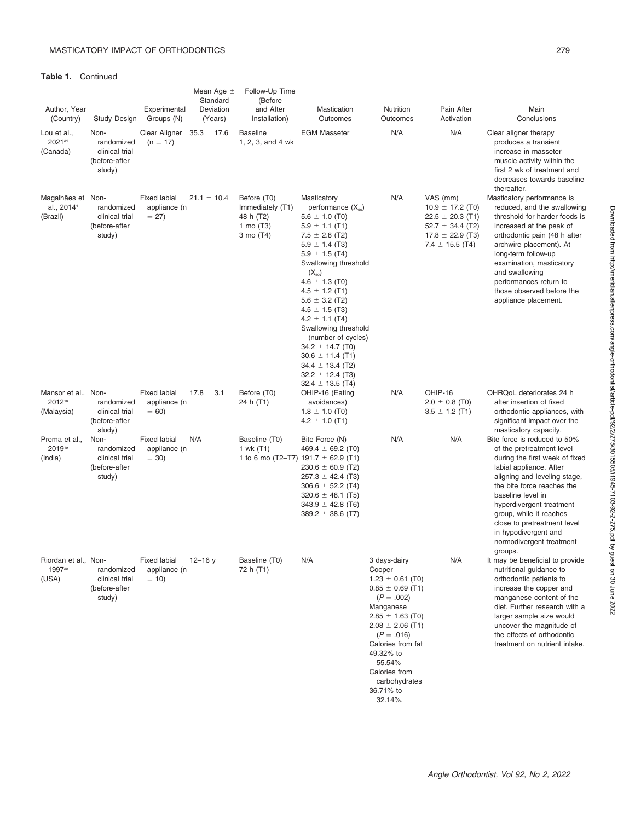Table 1. Continued

| Author, Year<br>(Country)                               | <b>Study Design</b>                                             | Experimental<br>Groups (N)                    | Mean Age $\pm$<br>Standard<br>Deviation<br>(Years) | Follow-Up Time<br>(Before<br>and After<br>Installation)                  | Mastication<br>Outcomes                                                                                                                                                                                                                                                                                                                                                                                                                                                       | Nutrition<br>Outcomes                                                                                                                                                                                                                                                 | Pain After<br>Activation                                                                                                        | Main<br>Conclusions                                                                                                                                                                                                                                                                                                                                 |  |
|---------------------------------------------------------|-----------------------------------------------------------------|-----------------------------------------------|----------------------------------------------------|--------------------------------------------------------------------------|-------------------------------------------------------------------------------------------------------------------------------------------------------------------------------------------------------------------------------------------------------------------------------------------------------------------------------------------------------------------------------------------------------------------------------------------------------------------------------|-----------------------------------------------------------------------------------------------------------------------------------------------------------------------------------------------------------------------------------------------------------------------|---------------------------------------------------------------------------------------------------------------------------------|-----------------------------------------------------------------------------------------------------------------------------------------------------------------------------------------------------------------------------------------------------------------------------------------------------------------------------------------------------|--|
| Lou et al.,<br>202124<br>(Canada)                       | Non-<br>randomized<br>clinical trial<br>(before-after<br>study) | Clear Aligner<br>$(n = 17)$                   | $35.3 \pm 17.6$                                    | <b>Baseline</b><br>1, 2, 3, and 4 wk                                     | <b>EGM Masseter</b>                                                                                                                                                                                                                                                                                                                                                                                                                                                           | N/A                                                                                                                                                                                                                                                                   | N/A                                                                                                                             | Clear aligner therapy<br>produces a transient<br>increase in masseter<br>muscle activity within the<br>first 2 wk of treatment and<br>decreases towards baseline<br>thereafter.                                                                                                                                                                     |  |
| Magalhães et Non-<br>al., 2014 <sup>4</sup><br>(Brazil) | randomized<br>clinical trial<br>(before-after<br>study)         | <b>Fixed labial</b><br>appliance (n<br>$= 27$ | $21.1 \pm 10.4$                                    | Before (T0)<br>Immediately (T1)<br>48 h (T2)<br>1 mo $(T3)$<br>3 mo (T4) | Masticatory<br>performance $(X_{50})$<br>$5.6 \pm 1.0$ (T0)<br>$5.9 \pm 1.1$ (T1)<br>$7.5 \pm 2.8$ (T2)<br>$5.9 \pm 1.4$ (T3)<br>$5.9 \pm 1.5$ (T4)<br>Swallowing threshold<br>$(X_{50})$<br>$4.6 \pm 1.3$ (T0)<br>$4.5 \pm 1.2$ (T1)<br>$5.6 \pm 3.2$ (T2)<br>$4.5 \pm 1.5$ (T3)<br>$4.2 \pm 1.1$ (T4)<br>Swallowing threshold<br>(number of cycles)<br>$34.2 \pm 14.7$ (T0)<br>$30.6 \pm 11.4$ (T1)<br>$34.4 \pm 13.4$ (T2)<br>$32.2 \pm 12.4$ (T3)<br>$32.4 \pm 13.5$ (T4) | N/A                                                                                                                                                                                                                                                                   | VAS (mm)<br>$10.9 \pm 17.2$ (T0)<br>$22.5 \pm 20.3$ (T1)<br>52.7 $\pm$ 34.4 (T2)<br>$17.8 \pm 22.9$ (T3)<br>$7.4 \pm 15.5$ (T4) | Masticatory performance is<br>reduced, and the swallowing<br>threshold for harder foods is<br>increased at the peak of<br>orthodontic pain (48 h after<br>archwire placement). At<br>long-term follow-up<br>examination, masticatory<br>and swallowing<br>performances return to<br>those observed before the<br>appliance placement.               |  |
| Mansor et al., Non-<br>201218<br>(Malaysia)             | randomized<br>clinical trial<br>(before-after<br>study)         | <b>Fixed labial</b><br>appliance (n<br>$= 60$ | $17.8 \pm 3.1$                                     | Before (T0)<br>24 h (T1)                                                 | OHIP-16 (Eating<br>avoidances)<br>$1.8 \pm 1.0$ (T0)<br>$4.2 \pm 1.0$ (T1)                                                                                                                                                                                                                                                                                                                                                                                                    | N/A                                                                                                                                                                                                                                                                   | OHIP-16<br>$2.0 \pm 0.8$ (T0)<br>$3.5 \pm 1.2$ (T1)                                                                             | OHRQoL deteriorates 24 h<br>after insertion of fixed<br>orthodontic appliances, with<br>significant impact over the<br>masticatory capacity.                                                                                                                                                                                                        |  |
| Prema et al.,<br>201919<br>(India)                      | Non-<br>randomized<br>clinical trial<br>(before-after<br>study) | <b>Fixed labial</b><br>appliance (n<br>$= 30$ | N/A                                                | Baseline (T0)<br>1 wk (T1)                                               | Bite Force (N)<br>469.4 $\pm$ 69.2 (T0)<br>1 to 6 mo (T2–T7) 191.7 $\pm$ 62.9 (T1)<br>$230.6 \pm 60.9$ (T2)<br>$257.3 \pm 42.4$ (T3)<br>$306.6 \pm 52.2$ (T4)<br>$320.6 \pm 48.1$ (T5)<br>$343.9 \pm 42.8$ (T6)<br>$389.2 \pm 38.6$ (T7)                                                                                                                                                                                                                                      | N/A                                                                                                                                                                                                                                                                   | N/A                                                                                                                             | Bite force is reduced to 50%<br>of the pretreatment level<br>during the first week of fixed<br>labial appliance. After<br>aligning and leveling stage,<br>the bite force reaches the<br>baseline level in<br>hyperdivergent treatment<br>group, while it reaches<br>close to pretreatment level<br>in hypodivergent and<br>normodivergent treatment |  |
| Riordan et al., Non-<br>199720<br>(USA)                 | randomized<br>clinical trial<br>(before-after<br>study)         | <b>Fixed labial</b><br>appliance (n<br>$= 10$ | $12 - 16y$                                         | Baseline (T0)<br>72 h (T1)                                               | N/A                                                                                                                                                                                                                                                                                                                                                                                                                                                                           | 3 days-dairy<br>Cooper<br>$1.23 \pm 0.61$ (T0)<br>$0.85 \pm 0.69$ (T1)<br>$(P=.002)$<br>Manganese<br>$2.85 \pm 1.63$ (T0)<br>$2.08 \pm 2.06$ (T1)<br>$(P=.016)$<br>Calories from fat<br>49.32% to<br>55.54%<br>Calories from<br>carbohydrates<br>36.71% to<br>32.14%. | N/A                                                                                                                             | groups.<br>It may be beneficial to provide<br>nutritional guidance to<br>orthodontic patients to<br>increase the copper and<br>manganese content of the<br>diet. Further research with a<br>larger sample size would<br>uncover the magnitude of<br>the effects of orthodontic<br>treatment on nutrient intake.                                     |  |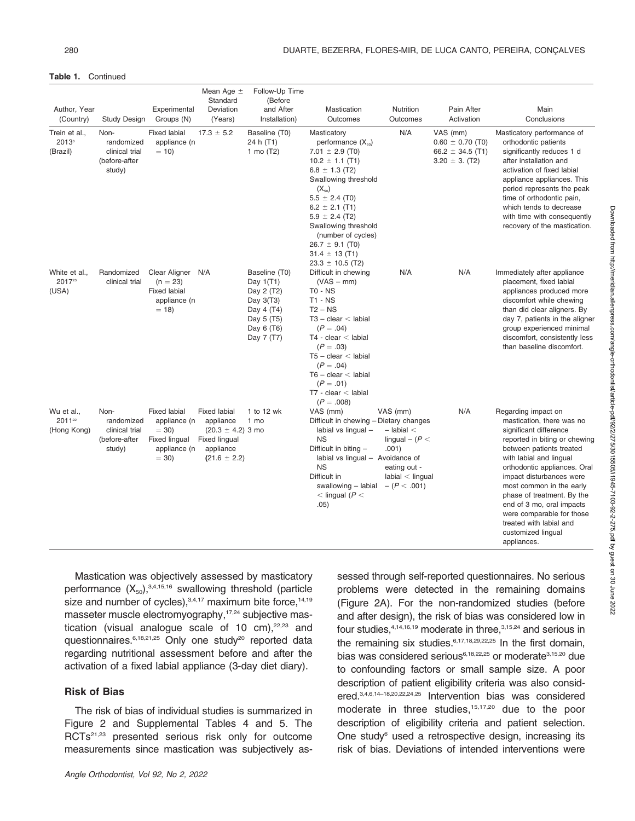#### Table 1. Continued

| Author, Year<br>(Country)                       | Study Design                                                    | Experimental<br>Groups (N)                                                               | Mean Age $\pm$<br>Standard<br>Deviation<br>(Years)                                                          | Follow-Up Time<br>(Before<br>and After<br>Installation)                                                         | Mastication<br>Outcomes                                                                                                                                                                                                                                                                                                              | Nutrition<br>Outcomes                                                                                             | Pain After<br>Activation                                                       | Main<br>Conclusions                                                                                                                                                                                                                                                                                                                                                                                                |
|-------------------------------------------------|-----------------------------------------------------------------|------------------------------------------------------------------------------------------|-------------------------------------------------------------------------------------------------------------|-----------------------------------------------------------------------------------------------------------------|--------------------------------------------------------------------------------------------------------------------------------------------------------------------------------------------------------------------------------------------------------------------------------------------------------------------------------------|-------------------------------------------------------------------------------------------------------------------|--------------------------------------------------------------------------------|--------------------------------------------------------------------------------------------------------------------------------------------------------------------------------------------------------------------------------------------------------------------------------------------------------------------------------------------------------------------------------------------------------------------|
| Trein et al.,<br>2013 <sup>3</sup><br>(Brazil)  | Non-<br>randomized<br>clinical trial<br>(before-after<br>study) | <b>Fixed labial</b><br>appliance (n<br>$= 10$                                            | $17.3 \pm 5.2$                                                                                              | Baseline (T0)<br>24 h (T1)<br>1 mo $(T2)$                                                                       | Masticatory<br>performance $(X_{50})$<br>7.01 $\pm$ 2.9 (T0)<br>$10.2 \pm 1.1$ (T1)<br>$6.8 \pm 1.3$ (T2)<br>Swallowing threshold<br>$(X_{50})$<br>$5.5 \pm 2.4$ (T0)<br>$6.2 \pm 2.1$ (T1)<br>$5.9 \pm 2.4$ (T2)<br>Swallowing threshold<br>(number of cycles)<br>$26.7 \pm 9.1$ (T0)<br>$31.4 \pm 13$ (T1)<br>$23.3 \pm 10.5$ (T2) | N/A                                                                                                               | VAS (mm)<br>$0.60 \pm 0.70$ (T0)<br>66.2 $\pm$ 34.5 (T1)<br>$3.20 \pm 3.$ (T2) | Masticatory performance of<br>orthodontic patients<br>significantly reduces 1 d<br>after installation and<br>activation of fixed labial<br>appliance appliances. This<br>period represents the peak<br>time of orthodontic pain,<br>which tends to decrease<br>with time with consequently<br>recovery of the mastication.                                                                                         |
| White et al.,<br>2017 <sup>23</sup><br>(USA)    | Randomized<br>clinical trial                                    | Clear Aligner N/A<br>$(n = 23)$<br><b>Fixed labial</b><br>appliance (n<br>$= 18$         |                                                                                                             | Baseline (T0)<br>Day $1(T1)$<br>Day 2 (T2)<br>Day 3(T3)<br>Day 4 (T4)<br>Day 5 (T5)<br>Day 6 (T6)<br>Day 7 (T7) | Difficult in chewing<br>$(VAS - mm)$<br><b>TO - NS</b><br>$T1 - NS$<br>$T2 - NS$<br>$T3 - clear <$ labial<br>$(P=.04)$<br>$T4 - clear <$ labial<br>$(P=.03)$<br>$T5 - clear <$ labial<br>$(P=.04)$<br>$T6 - clear <$ labial<br>$(P=.01)$<br>$T7$ - clear $<$ labial<br>$(P=.008)$                                                    | N/A                                                                                                               | N/A                                                                            | Immediately after appliance<br>placement, fixed labial<br>appliances produced more<br>discomfort while chewing<br>than did clear aligners. By<br>day 7, patients in the aligner<br>group experienced minimal<br>discomfort, consistently less<br>than baseline discomfort.                                                                                                                                         |
| Wu et al.,<br>2011 <sup>22</sup><br>(Hong Kong) | Non-<br>randomized<br>clinical trial<br>(before-after<br>study) | <b>Fixed labial</b><br>appliance (n<br>$= 30$<br>Fixed lingual<br>appliance (n<br>$= 30$ | <b>Fixed labial</b><br>appliance<br>$(20.3 \pm 4.2)$ 3 mo<br>Fixed lingual<br>appliance<br>$(21.6 \pm 2.2)$ | 1 to 12 wk<br>1 mo                                                                                              | VAS (mm)<br>Difficult in chewing - Dietary changes<br>labial vs lingual -<br><b>NS</b><br>Difficult in biting -<br>labial vs lingual - Avoidance of<br><b>NS</b><br>Difficult in<br>swallowing - labial<br>$<$ lingual ( $P<$<br>.05)                                                                                                | VAS (mm)<br>$-$ labial $<$<br>lingual $-$ ( $P$ $<$<br>.001)<br>eating out -<br>labial < lingual<br>$-(P < .001)$ | N/A                                                                            | Regarding impact on<br>mastication, there was no<br>significant difference<br>reported in biting or chewing<br>between patients treated<br>with labial and lingual<br>orthodontic appliances. Oral<br>impact disturbances were<br>most common in the early<br>phase of treatment. By the<br>end of 3 mo, oral impacts<br>were comparable for those<br>treated with labial and<br>customized lingual<br>appliances. |

Mastication was objectively assessed by masticatory performance  $(X_{50})$ , 3,4,15,16 swallowing threshold (particle size and number of cycles), $3,4,17$  maximum bite force, $14,19$ masseter muscle electromyography,<sup>17,24</sup> subjective mastication (visual analogue scale of 10 cm), $22,23$  and questionnaires.<sup>6,18,21,25</sup> Only one study<sup>20</sup> reported data regarding nutritional assessment before and after the activation of a fixed labial appliance (3-day diet diary).

#### Risk of Bias

The risk of bias of individual studies is summarized in Figure 2 and Supplemental Tables 4 and 5. The RCTs<sup>21,23</sup> presented serious risk only for outcome measurements since mastication was subjectively assessed through self-reported questionnaires. No serious problems were detected in the remaining domains (Figure 2A). For the non-randomized studies (before and after design), the risk of bias was considered low in four studies, $4,14,16,19$  moderate in three,  $3,15,24$  and serious in the remaining six studies.<sup>6,17,18,29,22,25</sup> In the first domain, bias was considered serious<sup>6,18,22,25</sup> or moderate<sup>3,15,20</sup> due to confounding factors or small sample size. A poor description of patient eligibility criteria was also considered.3,4,6,14–18,20,22,24,25 Intervention bias was considered moderate in three studies,<sup>15,17,20</sup> due to the poor description of eligibility criteria and patient selection. One study<sup>6</sup> used a retrospective design, increasing its risk of bias. Deviations of intended interventions were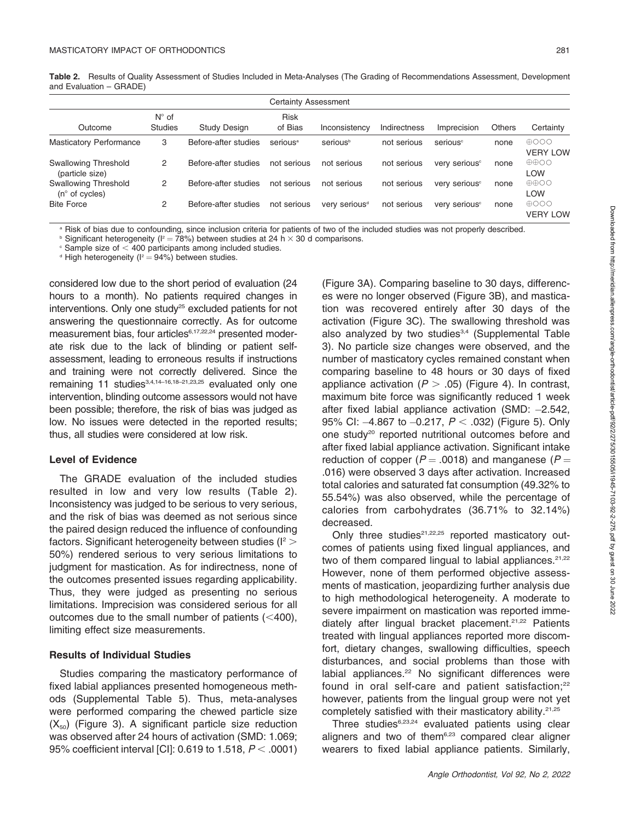Table 2. Results of Quality Assessment of Studies Included in Meta-Analyses (The Grading of Recommendations Assessment, Development and Evaluation – GRADE)

| <b>Certainty Assessment</b>                            |                                  |                      |                        |                           |              |                           |               |                                           |  |  |
|--------------------------------------------------------|----------------------------------|----------------------|------------------------|---------------------------|--------------|---------------------------|---------------|-------------------------------------------|--|--|
| Outcome                                                | $N^{\circ}$ of<br><b>Studies</b> | <b>Study Design</b>  | <b>Risk</b><br>of Bias | Inconsistency             | Indirectness | Imprecision               | <b>Others</b> | Certainty                                 |  |  |
| <b>Masticatory Performance</b>                         | 3                                | Before-after studies | serious <sup>a</sup>   | serious <sup>b</sup>      | not serious  | serious <sup>c</sup>      | none          | $\oplus$ 000<br><b>VERY LOW</b>           |  |  |
| <b>Swallowing Threshold</b><br>(particle size)         | 2                                | Before-after studies | not serious            | not serious               | not serious  | very serious <sup>c</sup> | none          | $\oplus \oplus \circ \circ$<br><b>LOW</b> |  |  |
| <b>Swallowing Threshold</b><br>$(n^{\circ}$ of cycles) | 2                                | Before-after studies | not serious            | not serious               | not serious  | very serious <sup>c</sup> | none          | $\oplus \oplus \circ \circ$<br><b>LOW</b> |  |  |
| <b>Bite Force</b>                                      | 2                                | Before-after studies | not serious            | very serious <sup>d</sup> | not serious  | very serious <sup>c</sup> | none          | $\oplus$ 000<br><b>VERY LOW</b>           |  |  |

a Risk of bias due to confounding, since inclusion criteria for patients of two of the included studies was not properly described.

 $\text{b}$  Significant heterogeneity (I<sup>2</sup> = 78%) between studies at 24 h  $\times$  30 d comparisons.

 $\textdegree$  Sample size of  $\textdegree$  400 participants among included studies.

 $d$  High heterogeneity ( $l^2 = 94\%$ ) between studies.

considered low due to the short period of evaluation (24 hours to a month). No patients required changes in interventions. Only one study $25$  excluded patients for not answering the questionnaire correctly. As for outcome measurement bias, four articles<sup>6,17,22,24</sup> presented moderate risk due to the lack of blinding or patient selfassessment, leading to erroneous results if instructions and training were not correctly delivered. Since the remaining 11 studies<sup>3,4,14-16,18-21,23,25</sup> evaluated only one intervention, blinding outcome assessors would not have been possible; therefore, the risk of bias was judged as low. No issues were detected in the reported results; thus, all studies were considered at low risk.

#### Level of Evidence

The GRADE evaluation of the included studies resulted in low and very low results (Table 2). Inconsistency was judged to be serious to very serious, and the risk of bias was deemed as not serious since the paired design reduced the influence of confounding factors. Significant heterogeneity between studies ( $I^2$  > 50%) rendered serious to very serious limitations to judgment for mastication. As for indirectness, none of the outcomes presented issues regarding applicability. Thus, they were judged as presenting no serious limitations. Imprecision was considered serious for all outcomes due to the small number of patients  $( $400$ ),$ limiting effect size measurements.

#### Results of Individual Studies

Studies comparing the masticatory performance of fixed labial appliances presented homogeneous methods (Supplemental Table 5). Thus, meta-analyses were performed comparing the chewed particle size  $(X_{50})$  (Figure 3). A significant particle size reduction was observed after 24 hours of activation (SMD: 1.069; 95% coefficient interval [CI]: 0.619 to 1.518,  $P < .0001$ ) (Figure 3A). Comparing baseline to 30 days, differences were no longer observed (Figure 3B), and mastication was recovered entirely after 30 days of the activation (Figure 3C). The swallowing threshold was also analyzed by two studies<sup>3,4</sup> (Supplemental Table 3). No particle size changes were observed, and the number of masticatory cycles remained constant when comparing baseline to 48 hours or 30 days of fixed appliance activation ( $P > .05$ ) (Figure 4). In contrast, maximum bite force was significantly reduced 1 week after fixed labial appliance activation (SMD: -2.542, 95% CI: –4.867 to –0.217,  $P<$  .032) (Figure 5). Only one study20 reported nutritional outcomes before and after fixed labial appliance activation. Significant intake reduction of copper ( $P = .0018$ ) and manganese ( $P =$ .016) were observed 3 days after activation. Increased total calories and saturated fat consumption (49.32% to 55.54%) was also observed, while the percentage of calories from carbohydrates (36.71% to 32.14%) decreased.

Only three studies $21,22,25$  reported masticatory outcomes of patients using fixed lingual appliances, and two of them compared lingual to labial appliances.  $21,22$ However, none of them performed objective assessments of mastication, jeopardizing further analysis due to high methodological heterogeneity. A moderate to severe impairment on mastication was reported immediately after lingual bracket placement.<sup>21,22</sup> Patients treated with lingual appliances reported more discomfort, dietary changes, swallowing difficulties, speech disturbances, and social problems than those with labial appliances.<sup>22</sup> No significant differences were found in oral self-care and patient satisfaction; $22$ however, patients from the lingual group were not yet completely satisfied with their masticatory ability.21,25

Three studies<sup>6,23,24</sup> evaluated patients using clear aligners and two of them $6,23$  compared clear aligner wearers to fixed labial appliance patients. Similarly,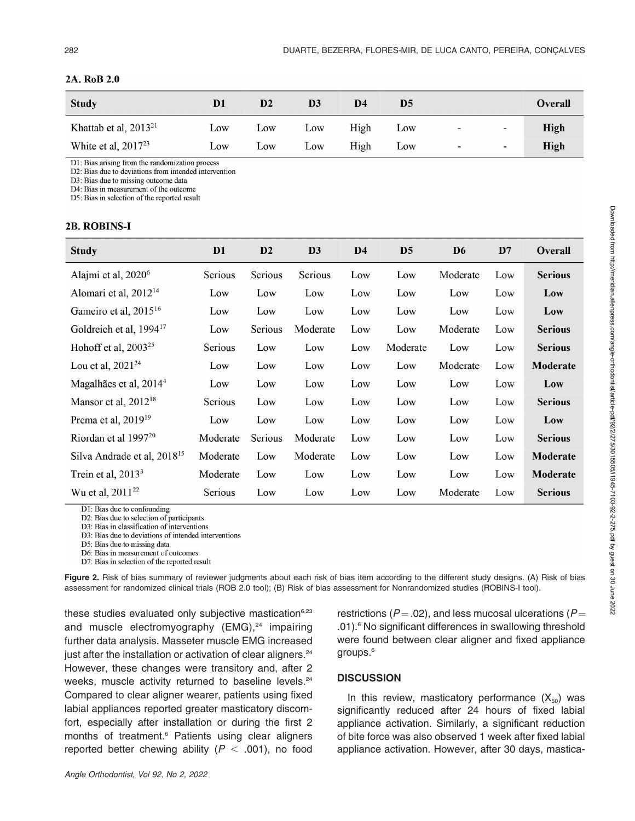| <b>Study</b>                      | D <sub>1</sub> | D <sub>2</sub> | D <sub>3</sub> | D4   | D5  |                |                | Overall     |
|-----------------------------------|----------------|----------------|----------------|------|-----|----------------|----------------|-------------|
| Khattab et al, 2013 <sup>21</sup> | Low            | Low            | Low            | High | Low | $\blacksquare$ | $\blacksquare$ | <b>High</b> |
| White et al, $2017^{23}$          | Low            | Low            | Low            | High | Low | Ξ              | $\sim$         | <b>High</b> |

#### 2A. RoB 2.0

D1: Bias arising from the randomization process

D2: Bias due to deviations from intended intervention

D3: Bias due to missing outcome data

D4: Bias in measurement of the outcome

D5: Bias in selection of the reported result

#### 2B. ROBINS-I

| <b>Study</b>                            | D <sub>1</sub> | D2      | D <sub>3</sub> | D <sub>4</sub> | D <sub>5</sub> | D <sub>6</sub> | D7  | <b>Overall</b> |
|-----------------------------------------|----------------|---------|----------------|----------------|----------------|----------------|-----|----------------|
| Alajmi et al, 2020 <sup>6</sup>         | Serious        | Serious | Serious        | Low            | Low            | Moderate       | Low | <b>Serious</b> |
| Alomari et al, 2012 <sup>14</sup>       | Low            | Low     | Low            | Low            | Low            | Low            | Low | Low            |
| Gameiro et al, 2015 <sup>16</sup>       | Low            | Low     | Low            | Low            | Low            | Low            | Low | Low            |
| Goldreich et al, 1994 <sup>17</sup>     | Low            | Serious | Moderate       | Low            | Low            | Moderate       | Low | <b>Serious</b> |
| Hohoff et al, $2003^{25}$               | Serious        | Low     | Low            | Low            | Moderate       | Low            | Low | <b>Serious</b> |
| Lou et al, $2021^{24}$                  | Low            | Low     | Low            | Low            | Low            | Moderate       | Low | Moderate       |
| Magalhães et al, 2014 <sup>4</sup>      | Low            | Low     | Low            | Low            | Low            | Low            | Low | Low            |
| Mansor et al, 2012 <sup>18</sup>        | Scrious        | Low     | Low            | Low            | Low            | Low            | Low | <b>Serious</b> |
| Prema et al, 2019 <sup>19</sup>         | Low            | Low     | Low            | Low            | Low            | Low            | Low | Low            |
| Riordan et al 1997 <sup>20</sup>        | Moderate       | Serious | Moderate       | Low            | Low            | Low            | Low | <b>Serious</b> |
| Silva Andrade et al, 2018 <sup>15</sup> | Moderate       | Low     | Moderate       | Low            | Low            | Low            | Low | Moderate       |
| Trein et al, $20133$                    | Moderate       | Low     | Low            | Low            | Low            | Low            | Low | Moderate       |
| Wu et al, 2011 <sup>22</sup>            | Serious        | Low     | Low            | Low            | Low            | Moderate       | Low | <b>Serious</b> |

D1: Bias due to confounding

D2: Bias due to selection of participants

D3: Bias in classification of interventions

D3: Bias due to deviations of intended interventions

D5: Bias due to missing data

D6: Bias in measurement of outcomes

D7: Bias in selection of the reported result

Figure 2. Risk of bias summary of reviewer judgments about each risk of bias item according to the different study designs. (A) Risk of bias assessment for randomized clinical trials (ROB 2.0 tool); (B) Risk of bias assessment for Nonrandomized studies (ROBINS-I tool).

these studies evaluated only subjective mastication<sup>6,23</sup> and muscle electromyography  $(EMG)<sup>24</sup>$  impairing further data analysis. Masseter muscle EMG increased just after the installation or activation of clear aligners.<sup>24</sup> However, these changes were transitory and, after 2 weeks, muscle activity returned to baseline levels.<sup>24</sup> Compared to clear aligner wearer, patients using fixed labial appliances reported greater masticatory discomfort, especially after installation or during the first 2 months of treatment.<sup>6</sup> Patients using clear aligners reported better chewing ability ( $P < .001$ ), no food restrictions ( $P = .02$ ), and less mucosal ulcerations ( $P =$ .01).6 No significant differences in swallowing threshold were found between clear aligner and fixed appliance groups.<sup>6</sup>

### **DISCUSSION**

In this review, masticatory performance  $(X_{50})$  was significantly reduced after 24 hours of fixed labial appliance activation. Similarly, a significant reduction of bite force was also observed 1 week after fixed labial appliance activation. However, after 30 days, mastica-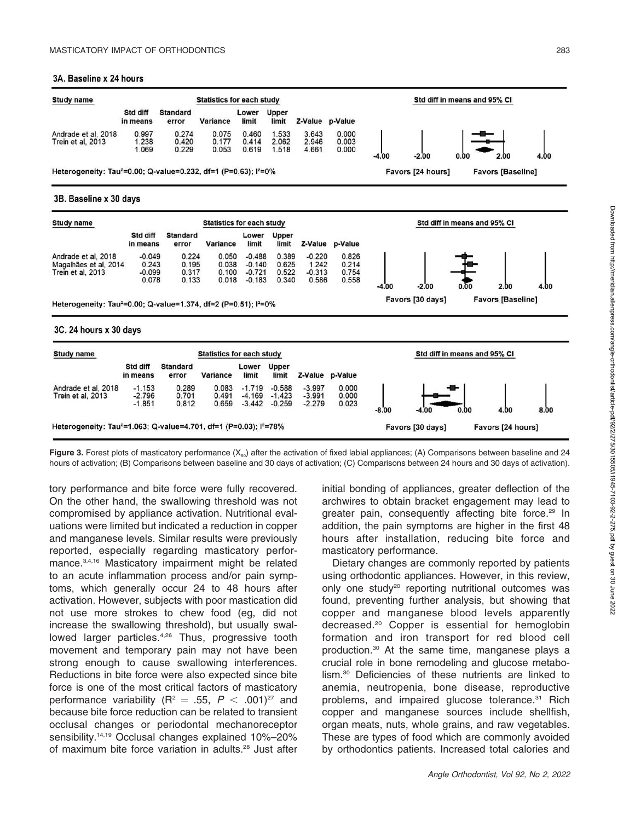#### 3A. Baseline x 24 hours



Figure 3. Forest plots of masticatory performance  $(X_{50})$  after the activation of fixed labial appliances; (A) Comparisons between baseline and 24 hours of activation; (B) Comparisons between baseline and 30 days of activation; (C) Comparisons between 24 hours and 30 days of activation).

tory performance and bite force were fully recovered. On the other hand, the swallowing threshold was not compromised by appliance activation. Nutritional evaluations were limited but indicated a reduction in copper and manganese levels. Similar results were previously reported, especially regarding masticatory performance.3,4,16 Masticatory impairment might be related to an acute inflammation process and/or pain symptoms, which generally occur 24 to 48 hours after activation. However, subjects with poor mastication did not use more strokes to chew food (eg, did not increase the swallowing threshold), but usually swallowed larger particles.<sup>4,26</sup> Thus, progressive tooth movement and temporary pain may not have been strong enough to cause swallowing interferences. Reductions in bite force were also expected since bite force is one of the most critical factors of masticatory performance variability (R<sup>2</sup> = .55, P < .001)<sup>27</sup> and because bite force reduction can be related to transient occlusal changes or periodontal mechanoreceptor sensibility.14,19 Occlusal changes explained 10%–20% of maximum bite force variation in adults.28 Just after initial bonding of appliances, greater deflection of the archwires to obtain bracket engagement may lead to greater pain, consequently affecting bite force.<sup>29</sup> In addition, the pain symptoms are higher in the first 48 hours after installation, reducing bite force and masticatory performance.

Dietary changes are commonly reported by patients using orthodontic appliances. However, in this review, only one study<sup>20</sup> reporting nutritional outcomes was found, preventing further analysis, but showing that copper and manganese blood levels apparently decreased.20 Copper is essential for hemoglobin formation and iron transport for red blood cell production.30 At the same time, manganese plays a crucial role in bone remodeling and glucose metabolism.30 Deficiencies of these nutrients are linked to anemia, neutropenia, bone disease, reproductive problems, and impaired glucose tolerance.<sup>31</sup> Rich copper and manganese sources include shellfish, organ meats, nuts, whole grains, and raw vegetables. These are types of food which are commonly avoided by orthodontics patients. Increased total calories and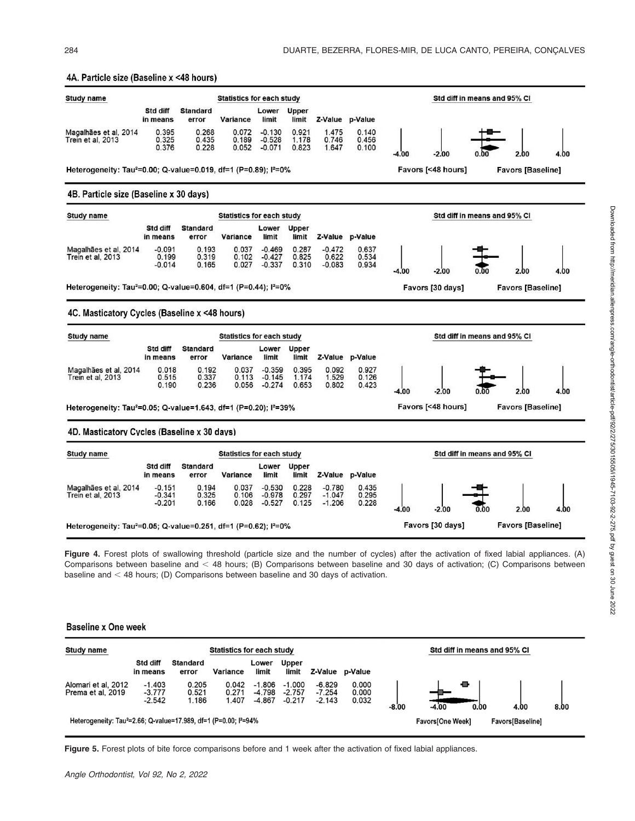

Figure 4. Forest plots of swallowing threshold (particle size and the number of cycles) after the activation of fixed labial appliances. (A) Comparisons between baseline and < 48 hours; (B) Comparisons between baseline and 30 days of activation; (C) Comparisons between baseline and  $<$  48 hours; (D) Comparisons between baseline and 30 days of activation.

#### **Baseline x One week**

| Study name                                                                               |                                  |                          | <b>Statistics for each study</b> |                                  |                                  |                                  |                         |                   | Std diff in means and 95% CI |      |      |
|------------------------------------------------------------------------------------------|----------------------------------|--------------------------|----------------------------------|----------------------------------|----------------------------------|----------------------------------|-------------------------|-------------------|------------------------------|------|------|
|                                                                                          | Std diff<br>in means             | <b>Standard</b><br>error | Variance                         | Lower<br>limit                   | <b>Upper</b><br>limit            | Z-Value                          | p-Value                 |                   |                              |      |      |
| Alomari et al. 2012<br>Prema et al. 2019                                                 | $-1.403$<br>$-3.777$<br>$-2.542$ | 0.205<br>0.521<br>1.186  | 0.042<br>0.271<br>1.407          | $-1.806$<br>$-4.798$<br>$-4.867$ | $-1.000$<br>$-2.757$<br>$-0.217$ | $-6.829$<br>$-7.254$<br>$-2.143$ | 0.000<br>0.000<br>0.032 | -8.00             | ₩<br>$-4.00$<br>0.00         | 4.00 | 8.00 |
| Heterogeneity: Tau <sup>2</sup> =2.66; Q-value=17.989, df=1 (P=0.00; l <sup>2</sup> =94% |                                  |                          |                                  |                                  |                                  |                                  |                         | Favors [One Week] | <b>Favors</b> [Baseline]     |      |      |

Figure 5. Forest plots of bite force comparisons before and 1 week after the activation of fixed labial appliances.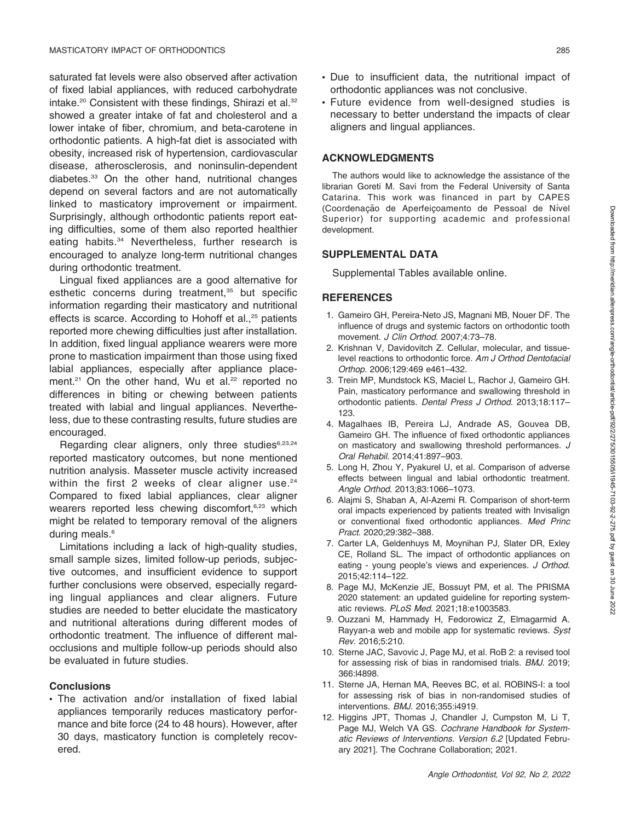saturated fat levels were also observed after activation of fixed labial appliances, with reduced carbohydrate intake.<sup>20</sup> Consistent with these findings, Shirazi et al.<sup>32</sup> showed a greater intake of fat and cholesterol and a lower intake of fiber, chromium, and beta-carotene in orthodontic patients. A high-fat diet is associated with obesity, increased risk of hypertension, cardiovascular disease, atherosclerosis, and noninsulin-dependent diabetes.33 On the other hand, nutritional changes depend on several factors and are not automatically linked to masticatory improvement or impairment. Surprisingly, although orthodontic patients report eating difficulties, some of them also reported healthier eating habits.<sup>34</sup> Nevertheless, further research is encouraged to analyze long-term nutritional changes during orthodontic treatment.

Lingual fixed appliances are a good alternative for esthetic concerns during treatment,<sup>35</sup> but specific information regarding their masticatory and nutritional effects is scarce. According to Hohoff et al.,<sup>25</sup> patients reported more chewing difficulties just after installation. In addition, fixed lingual appliance wearers were more prone to mastication impairment than those using fixed labial appliances, especially after appliance placement.<sup>21</sup> On the other hand, Wu et al.<sup>22</sup> reported no differences in biting or chewing between patients treated with labial and lingual appliances. Nevertheless, due to these contrasting results, future studies are encouraged.

Regarding clear aligners, only three studies<sup>6,23,24</sup> reported masticatory outcomes, but none mentioned nutrition analysis. Masseter muscle activity increased within the first 2 weeks of clear aligner use. $24$ Compared to fixed labial appliances, clear aligner wearers reported less chewing discomfort,<sup>6,23</sup> which might be related to temporary removal of the aligners during meals.<sup>6</sup>

Limitations including a lack of high-quality studies, small sample sizes, limited follow-up periods, subjective outcomes, and insufficient evidence to support further conclusions were observed, especially regarding lingual appliances and clear aligners. Future studies are needed to better elucidate the masticatory and nutritional alterations during different modes of orthodontic treatment. The influence of different malocclusions and multiple follow-up periods should also be evaluated in future studies.

### **Conclusions**

 The activation and/or installation of fixed labial appliances temporarily reduces masticatory performance and bite force (24 to 48 hours). However, after 30 days, masticatory function is completely recovered.

- Due to insufficient data, the nutritional impact of orthodontic appliances was not conclusive.
- Future evidence from well-designed studies is necessary to better understand the impacts of clear aligners and lingual appliances.

### ACKNOWLEDGMENTS

The authors would like to acknowledge the assistance of the librarian Goreti M. Savi from the Federal University of Santa Catarina. This work was financed in part by CAPES (Coordenação de Aperfeiçoamento de Pessoal de Nível Superior) for supporting academic and professional development.

### SUPPLEMENTAL DATA

Supplemental Tables available online.

### **REFERENCES**

- 1. Gameiro GH, Pereira-Neto JS, Magnani MB, Nouer DF. The influence of drugs and systemic factors on orthodontic tooth movement. J Clin Orthod. 2007;4:73–78.
- 2. Krishnan V, Davidovitch Z. Cellular, molecular, and tissuelevel reactions to orthodontic force. Am J Orthod Dentofacial Orthop. 2006;129:469 e461–432.
- 3. Trein MP, Mundstock KS, Maciel L, Rachor J, Gameiro GH. Pain, masticatory performance and swallowing threshold in orthodontic patients. Dental Press J Orthod. 2013;18:117-123.
- 4. Magalhaes IB, Pereira LJ, Andrade AS, Gouvea DB, Gameiro GH. The influence of fixed orthodontic appliances on masticatory and swallowing threshold performances. J Oral Rehabil. 2014;41:897–903.
- 5. Long H, Zhou Y, Pyakurel U, et al. Comparison of adverse effects between lingual and labial orthodontic treatment. Angle Orthod. 2013;83:1066–1073.
- 6. Alajmi S, Shaban A, Al-Azemi R. Comparison of short-term oral impacts experienced by patients treated with Invisalign or conventional fixed orthodontic appliances. Med Princ Pract. 2020;29:382–388.
- 7. Carter LA, Geldenhuys M, Moynihan PJ, Slater DR, Exley CE, Rolland SL. The impact of orthodontic appliances on eating - young people's views and experiences. J Orthod. 2015;42:114–122.
- 8. Page MJ, McKenzie JE, Bossuyt PM, et al. The PRISMA 2020 statement: an updated guideline for reporting systematic reviews. PLoS Med. 2021;18:e1003583.
- 9. Ouzzani M, Hammady H, Fedorowicz Z, Elmagarmid A. Rayyan-a web and mobile app for systematic reviews. Syst Rev. 2016;5:210.
- 10. Sterne JAC, Savovic J, Page MJ, et al. RoB 2: a revised tool for assessing risk of bias in randomised trials. BMJ. 2019; 366:l4898.
- 11. Sterne JA, Hernan MA, Reeves BC, et al. ROBINS-I: a tool for assessing risk of bias in non-randomised studies of interventions. BMJ. 2016;355:i4919.
- 12. Higgins JPT, Thomas J, Chandler J, Cumpston M, Li T, Page MJ, Welch VA GS. Cochrane Handbook for Systematic Reviews of Interventions. Version 6.2 [Updated February 2021]. The Cochrane Collaboration; 2021.